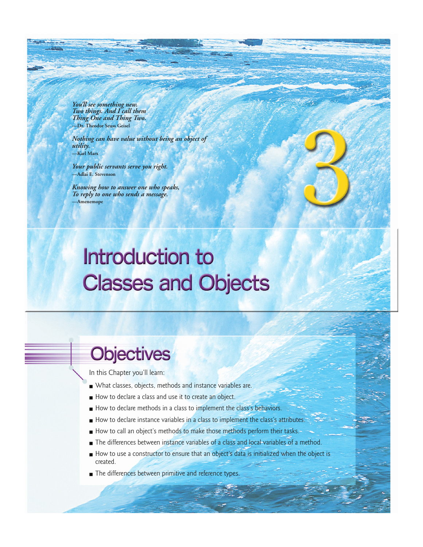*You'll see something new. Two things. And I call them Thing One and Thing Two.* **—Dr. Theodor Seuss Geisel**

*Nothing can have value without being an object of utility.*  **—Karl Marx**

*Your public servants serve you right.*  **—Adlai E. Stevenson**

*Knowing how to answer one who speaks, To reply to one who sends a message.* **—Amenemope**

# Introduction to **Classes and Objects**

# **Objectives**

In this Chapter you'll learn:

- What classes, objects, methods and instance variables are.
- How to declare a class and use it to create an object.
- How to declare methods in a class to implement the class's behaviors.
- How to declare instance variables in a class to implement the class's attributes.
- How to call an object's methods to make those methods perform their tasks.
- The differences between instance variables of a class and local variables of a method.
- How to use a constructor to ensure that an object's data is initialized when the object is created.
- The differences between primitive and reference types.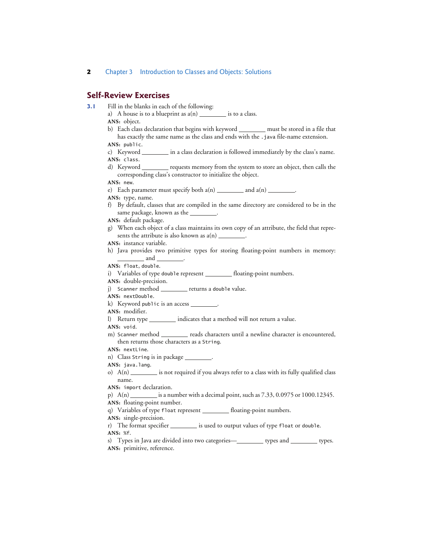## **Self-Review Exercises**

- **3.1** Fill in the blanks in each of the following:
	- a) A house is to a blueprint as  $a(n)$  is to a class.
	- **ANS:** object.
	- b) Each class declaration that begins with keyword \_\_\_\_\_\_\_\_\_ must be stored in a file that has exactly the same name as the class and ends with the .java file-name extension.
	- **ANS:** public.
	- c) Keyword \_\_\_\_\_\_\_\_\_ in a class declaration is followed immediately by the class's name. **ANS:** class.
	- d) Keyword \_\_\_\_\_\_\_\_ requests memory from the system to store an object, then calls the corresponding class's constructor to initialize the object.

#### **ANS:** new.

- e) Each parameter must specify both  $a(n)$  and  $a(n)$  and  $a(n)$
- **ANS:** type, name.
- f) By default, classes that are compiled in the same directory are considered to be in the same package, known as the
- **ANS:** default package.
- g) When each object of a class maintains its own copy of an attribute, the field that represents the attribute is also known as  $a(n)$
- **ANS:** instance variable.
- h) Java provides two primitive types for storing floating-point numbers in memory: and .

**ANS:** float, double.

- i) Variables of type double represent \_\_\_\_\_\_\_\_ floating-point numbers.
- **ANS:** double-precision.
- j) Scanner method \_\_\_\_\_\_\_\_ returns a double value.
- **ANS:** nextDouble.
- k) Keyword public is an access .

**ANS:** modifier.

l) Return type \_\_\_\_\_\_\_\_\_ indicates that a method will not return a value.

### **ANS:** void.

m) Scanner method \_\_\_\_\_\_\_ reads characters until a newline character is encountered, then returns those characters as a String.

**ANS:** nextLine.

- n) Class String is in package \_\_\_\_
- ANS: java.lang.
- o)  $A(n)$  is not required if you always refer to a class with its fully qualified class name.
- **ANS:** import declaration.
- p)  $A(n)$  is a number with a decimal point, such as  $7.33$ ,  $0.0975$  or  $1000.12345$ .

**ANS:** floating-point number.

q) Variables of type float represent \_\_\_\_\_\_\_ floating-point numbers.

**ANS:** single-precision.

- r) The format specifier \_\_\_\_\_\_\_\_\_ is used to output values of type float or double. **ANS:** %f.
- s) Types in Java are divided into two categories—**state of the categories** types. **ANS:** primitive, reference.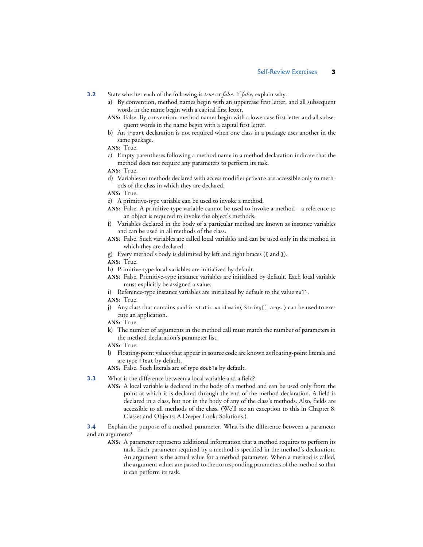**3.2** State whether each of the following is *true* or *false*. If *false*, explain why.

- a) By convention, method names begin with an uppercase first letter, and all subsequent words in the name begin with a capital first letter.
- **ANS:** False. By convention, method names begin with a lowercase first letter and all subsequent words in the name begin with a capital first letter.
- b) An import declaration is not required when one class in a package uses another in the same package.
- **ANS:** True.
- c) Empty parentheses following a method name in a method declaration indicate that the method does not require any parameters to perform its task.
- **ANS:** True.
- d) Variables or methods declared with access modifier private are accessible only to methods of the class in which they are declared.
- **ANS:** True.
- e) A primitive-type variable can be used to invoke a method.
- **ANS:** False. A primitive-type variable cannot be used to invoke a method—a reference to an object is required to invoke the object's methods.
- f) Variables declared in the body of a particular method are known as instance variables and can be used in all methods of the class.
- **ANS:** False. Such variables are called local variables and can be used only in the method in which they are declared.
- g) Every method's body is delimited by left and right braces ({ and }).
- **ANS:** True.
- h) Primitive-type local variables are initialized by default.
- **ANS:** False. Primitive-type instance variables are initialized by default. Each local variable must explicitly be assigned a value.
- i) Reference-type instance variables are initialized by default to the value null.
- **ANS:** True.
- j) Any class that contains public static void main( String[] args ) can be used to execute an application.
- **ANS:** True.
- k) The number of arguments in the method call must match the number of parameters in the method declaration's parameter list.
- **ANS:** True.
- l) Floating-point values that appear in source code are known as floating-point literals and are type float by default.
- **ANS:** False. Such literals are of type double by default.
- **3.3** What is the difference between a local variable and a field?
	- **ANS:** A local variable is declared in the body of a method and can be used only from the point at which it is declared through the end of the method declaration. A field is declared in a class, but not in the body of any of the class's methods. Also, fields are accessible to all methods of the class. (We'll see an exception to this in Chapter 8, Classes and Objects: A Deeper Look: Solutions.)

**3.4** Explain the purpose of a method parameter. What is the difference between a parameter and an argument?

**ANS:** A parameter represents additional information that a method requires to perform its task. Each parameter required by a method is specified in the method's declaration. An argument is the actual value for a method parameter. When a method is called, the argument values are passed to the corresponding parameters of the method so that it can perform its task.